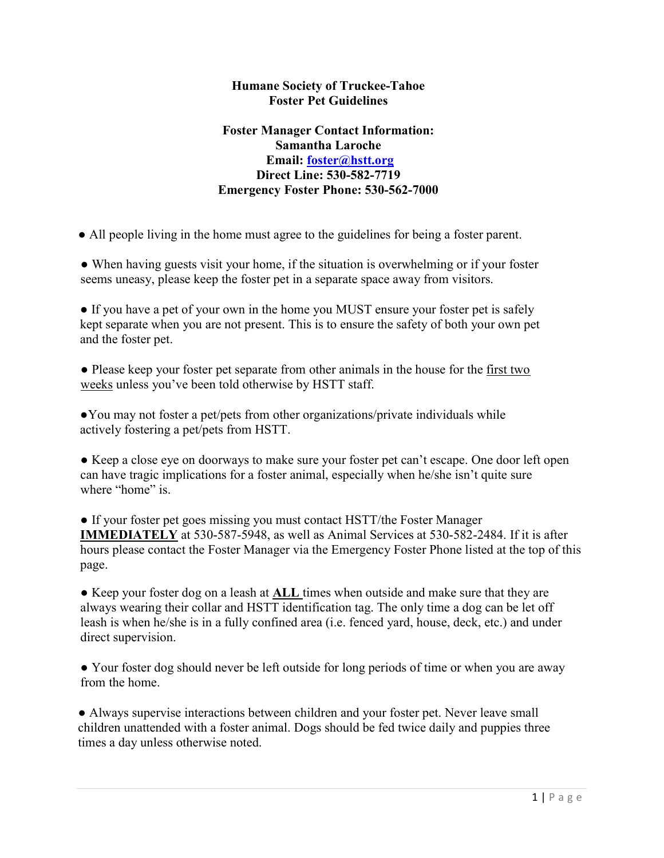#### Humane Society of Truckee-Tahoe Foster Pet Guidelines

### Foster Manager Contact Information: Samantha Laroche Email: foster@hstt.org Direct Line: 530-582-7719 Emergency Foster Phone: 530-562-7000

● All people living in the home must agree to the guidelines for being a foster parent.

• When having guests visit your home, if the situation is overwhelming or if your foster seems uneasy, please keep the foster pet in a separate space away from visitors.

• If you have a pet of your own in the home you MUST ensure your foster pet is safely kept separate when you are not present. This is to ensure the safety of both your own pet and the foster pet.

• Please keep your foster pet separate from other animals in the house for the first two weeks unless you've been told otherwise by HSTT staff.

●You may not foster a pet/pets from other organizations/private individuals while actively fostering a pet/pets from HSTT.

● Keep a close eye on doorways to make sure your foster pet can't escape. One door left open can have tragic implications for a foster animal, especially when he/she isn't quite sure where "home" is.

• If your foster pet goes missing you must contact HSTT/the Foster Manager IMMEDIATELY at 530-587-5948, as well as Animal Services at 530-582-2484. If it is after hours please contact the Foster Manager via the Emergency Foster Phone listed at the top of this page.

• Keep your foster dog on a leash at **ALL** times when outside and make sure that they are always wearing their collar and HSTT identification tag. The only time a dog can be let off leash is when he/she is in a fully confined area (i.e. fenced yard, house, deck, etc.) and under direct supervision.

● Your foster dog should never be left outside for long periods of time or when you are away from the home.

• Always supervise interactions between children and your foster pet. Never leave small children unattended with a foster animal. Dogs should be fed twice daily and puppies three times a day unless otherwise noted.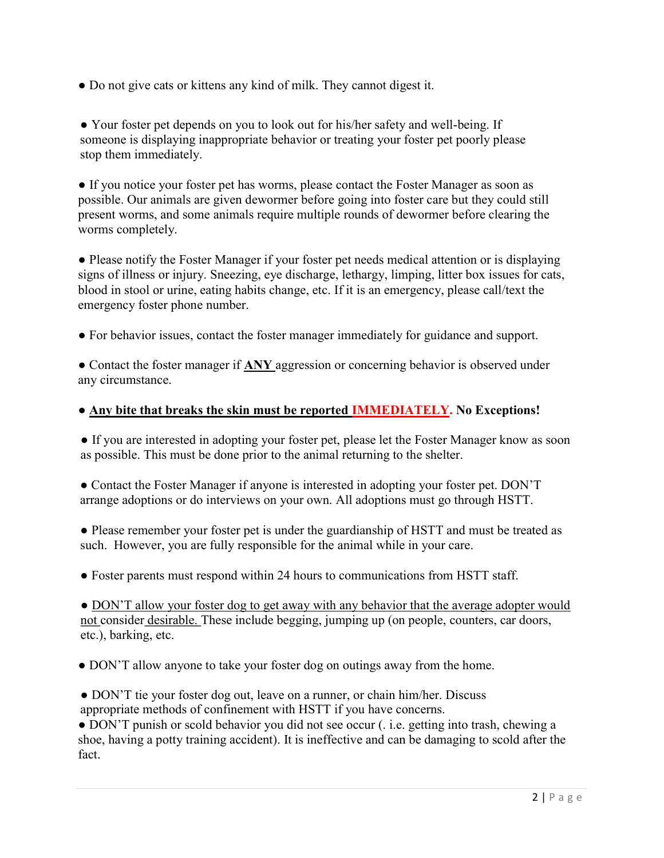• Do not give cats or kittens any kind of milk. They cannot digest it.

● Your foster pet depends on you to look out for his/her safety and well-being. If someone is displaying inappropriate behavior or treating your foster pet poorly please stop them immediately.

● If you notice your foster pet has worms, please contact the Foster Manager as soon as possible. Our animals are given dewormer before going into foster care but they could still present worms, and some animals require multiple rounds of dewormer before clearing the worms completely.

• Please notify the Foster Manager if your foster pet needs medical attention or is displaying signs of illness or injury. Sneezing, eye discharge, lethargy, limping, litter box issues for cats, blood in stool or urine, eating habits change, etc. If it is an emergency, please call/text the emergency foster phone number.

● For behavior issues, contact the foster manager immediately for guidance and support.

• Contact the foster manager if **ANY** aggression or concerning behavior is observed under any circumstance.

### • Any bite that breaks the skin must be reported **IMMEDIATELY**. No Exceptions!

• If you are interested in adopting your foster pet, please let the Foster Manager know as soon as possible. This must be done prior to the animal returning to the shelter.

• Contact the Foster Manager if anyone is interested in adopting your foster pet. DON'T arrange adoptions or do interviews on your own. All adoptions must go through HSTT.

● Please remember your foster pet is under the guardianship of HSTT and must be treated as such. However, you are fully responsible for the animal while in your care.

● Foster parents must respond within 24 hours to communications from HSTT staff.

• DON'T allow your foster dog to get away with any behavior that the average adopter would not consider desirable. These include begging, jumping up (on people, counters, car doors, etc.), barking, etc.

• DON'T allow anyone to take your foster dog on outings away from the home.

• DON'T tie your foster dog out, leave on a runner, or chain him/her. Discuss appropriate methods of confinement with HSTT if you have concerns.

● DON'T punish or scold behavior you did not see occur (. i.e. getting into trash, chewing a shoe, having a potty training accident). It is ineffective and can be damaging to scold after the fact.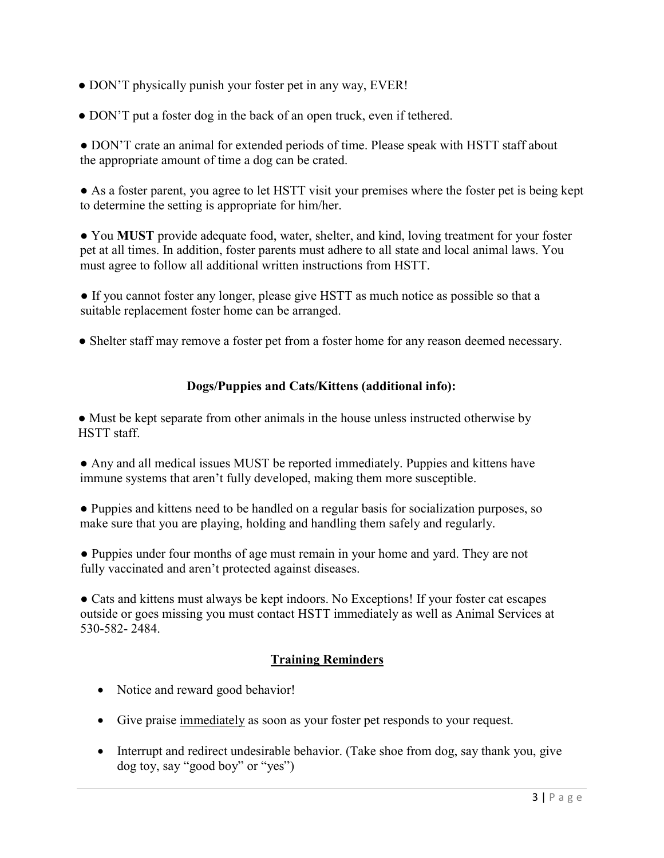- DON'T physically punish your foster pet in any way, EVER!
- DON'T put a foster dog in the back of an open truck, even if tethered.

● DON'T crate an animal for extended periods of time. Please speak with HSTT staff about the appropriate amount of time a dog can be crated.

• As a foster parent, you agree to let HSTT visit your premises where the foster pet is being kept to determine the setting is appropriate for him/her.

● You MUST provide adequate food, water, shelter, and kind, loving treatment for your foster pet at all times. In addition, foster parents must adhere to all state and local animal laws. You must agree to follow all additional written instructions from HSTT.

● If you cannot foster any longer, please give HSTT as much notice as possible so that a suitable replacement foster home can be arranged.

• Shelter staff may remove a foster pet from a foster home for any reason deemed necessary.

### Dogs/Puppies and Cats/Kittens (additional info):

● Must be kept separate from other animals in the house unless instructed otherwise by HSTT staff.

● Any and all medical issues MUST be reported immediately. Puppies and kittens have immune systems that aren't fully developed, making them more susceptible.

● Puppies and kittens need to be handled on a regular basis for socialization purposes, so make sure that you are playing, holding and handling them safely and regularly.

● Puppies under four months of age must remain in your home and yard. They are not fully vaccinated and aren't protected against diseases.

● Cats and kittens must always be kept indoors. No Exceptions! If your foster cat escapes outside or goes missing you must contact HSTT immediately as well as Animal Services at 530-582- 2484.

# Training Reminders

- Notice and reward good behavior!
- Give praise immediately as soon as your foster pet responds to your request.
- Interrupt and redirect undesirable behavior. (Take shoe from dog, say thank you, give dog toy, say "good boy" or "yes")